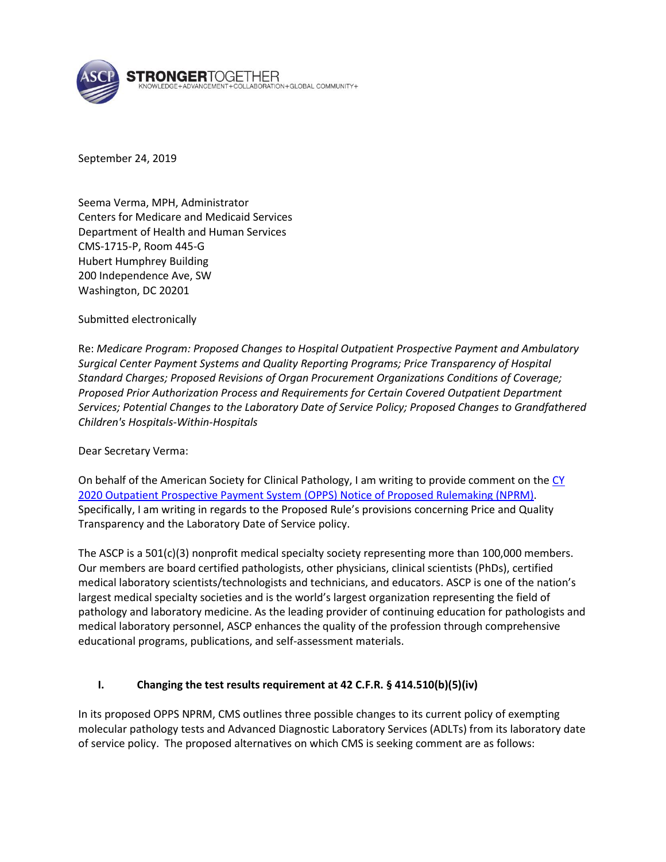

September 24, 2019

Seema Verma, MPH, Administrator Centers for Medicare and Medicaid Services Department of Health and Human Services CMS-1715-P, Room 445-G Hubert Humphrey Building 200 Independence Ave, SW Washington, DC 20201

Submitted electronically

Re: *Medicare Program: Proposed Changes to Hospital Outpatient Prospective Payment and Ambulatory Surgical Center Payment Systems and Quality Reporting Programs; Price Transparency of Hospital Standard Charges; Proposed Revisions of Organ Procurement Organizations Conditions of Coverage; Proposed Prior Authorization Process and Requirements for Certain Covered Outpatient Department Services; Potential Changes to the Laboratory Date of Service Policy; Proposed Changes to Grandfathered Children's Hospitals-Within-Hospitals*

Dear Secretary Verma:

On behalf of the American Society for Clinical Pathology, I am writing to provide comment on the [CY](https://www.federalregister.gov/documents/2019/08/09/2019-16107/medicare-program-proposed-changes-to-hospital-outpatient-prospective-payment-and-ambulatory-surgical)  [2020 Outpatient Prospective Payment System \(OPPS\) Notice of Proposed Rulemaking](https://www.federalregister.gov/documents/2019/08/09/2019-16107/medicare-program-proposed-changes-to-hospital-outpatient-prospective-payment-and-ambulatory-surgical) (NPRM). Specifically, I am writing in regards to the Proposed Rule's provisions concerning Price and Quality Transparency and the Laboratory Date of Service policy.

The ASCP is a 501(c)(3) nonprofit medical specialty society representing more than 100,000 members. Our members are board certified pathologists, other physicians, clinical scientists (PhDs), certified medical laboratory scientists/technologists and technicians, and educators. ASCP is one of the nation's largest medical specialty societies and is the world's largest organization representing the field of pathology and laboratory medicine. As the leading provider of continuing education for pathologists and medical laboratory personnel, ASCP enhances the quality of the profession through comprehensive educational programs, publications, and self-assessment materials.

#### **I. Changing the test results requirement at 42 C.F.R. § 414.510(b)(5)(iv)**

In its proposed OPPS NPRM, CMS outlines three possible changes to its current policy of exempting molecular pathology tests and Advanced Diagnostic Laboratory Services (ADLTs) from its laboratory date of service policy. The proposed alternatives on which CMS is seeking comment are as follows: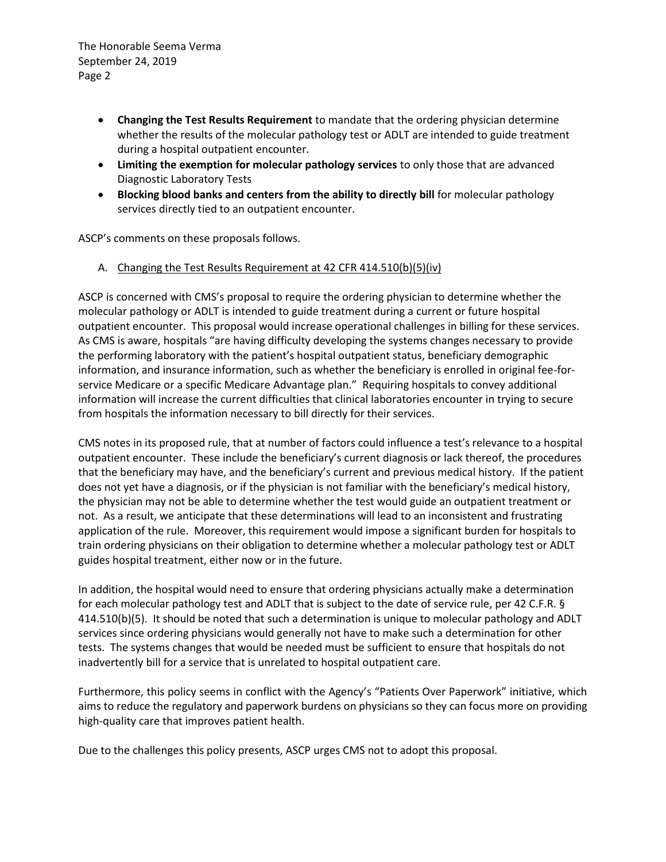- **Changing the Test Results Requirement** to mandate that the ordering physician determine whether the results of the molecular pathology test or ADLT are intended to guide treatment during a hospital outpatient encounter.
- **Limiting the exemption for molecular pathology services** to only those that are advanced Diagnostic Laboratory Tests
- **Blocking blood banks and centers from the ability to directly bill** for molecular pathology services directly tied to an outpatient encounter.

ASCP's comments on these proposals follows.

A. Changing the Test Results Requirement at 42 CFR 414.510(b)(5)(iv)

ASCP is concerned with CMS's proposal to require the ordering physician to determine whether the molecular pathology or ADLT is intended to guide treatment during a current or future hospital outpatient encounter. This proposal would increase operational challenges in billing for these services. As CMS is aware, hospitals "are having difficulty developing the systems changes necessary to provide the performing laboratory with the patient's hospital outpatient status, beneficiary demographic information, and insurance information, such as whether the beneficiary is enrolled in original fee-forservice Medicare or a specific Medicare Advantage plan." Requiring hospitals to convey additional information will increase the current difficulties that clinical laboratories encounter in trying to secure from hospitals the information necessary to bill directly for their services.

CMS notes in its proposed rule, that at number of factors could influence a test's relevance to a hospital outpatient encounter. These include the beneficiary's current diagnosis or lack thereof, the procedures that the beneficiary may have, and the beneficiary's current and previous medical history. If the patient does not yet have a diagnosis, or if the physician is not familiar with the beneficiary's medical history, the physician may not be able to determine whether the test would guide an outpatient treatment or not. As a result, we anticipate that these determinations will lead to an inconsistent and frustrating application of the rule. Moreover, this requirement would impose a significant burden for hospitals to train ordering physicians on their obligation to determine whether a molecular pathology test or ADLT guides hospital treatment, either now or in the future.

In addition, the hospital would need to ensure that ordering physicians actually make a determination for each molecular pathology test and ADLT that is subject to the date of service rule, per 42 C.F.R. § 414.510(b)(5). It should be noted that such a determination is unique to molecular pathology and ADLT services since ordering physicians would generally not have to make such a determination for other tests. The systems changes that would be needed must be sufficient to ensure that hospitals do not inadvertently bill for a service that is unrelated to hospital outpatient care.

Furthermore, this policy seems in conflict with the Agency's "Patients Over Paperwork" initiative, which aims to reduce the regulatory and paperwork burdens on physicians so they can focus more on providing high-quality care that improves patient health.

Due to the challenges this policy presents, ASCP urges CMS not to adopt this proposal.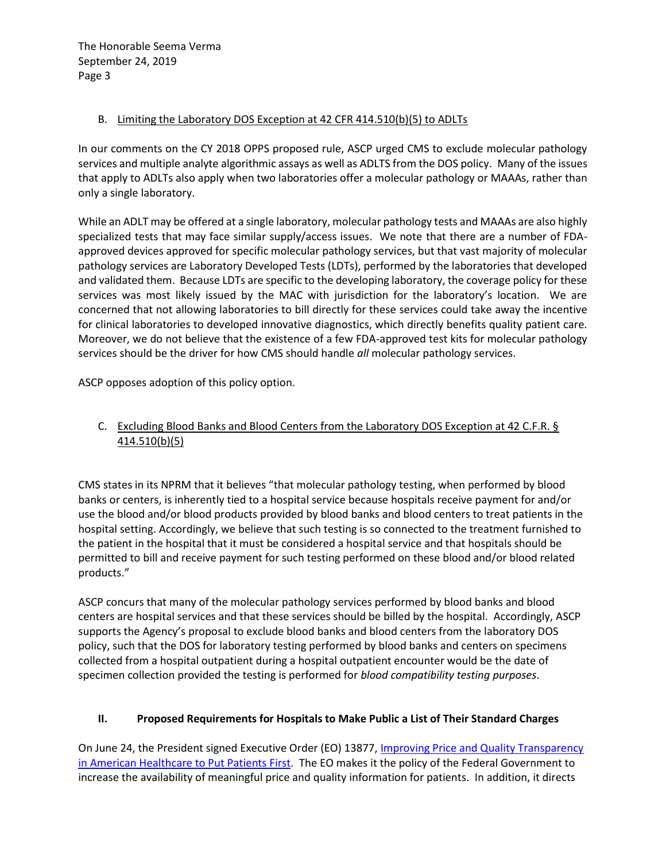#### B. Limiting the Laboratory DOS Exception at 42 CFR 414.510(b)(5) to ADLTs

In our comments on the CY 2018 OPPS proposed rule, ASCP urged CMS to exclude molecular pathology services and multiple analyte algorithmic assays as well as ADLTS from the DOS policy. Many of the issues that apply to ADLTs also apply when two laboratories offer a molecular pathology or MAAAs, rather than only a single laboratory.

While an ADLT may be offered at a single laboratory, molecular pathology tests and MAAAs are also highly specialized tests that may face similar supply/access issues. We note that there are a number of FDAapproved devices approved for specific molecular pathology services, but that vast majority of molecular pathology services are Laboratory Developed Tests (LDTs), performed by the laboratories that developed and validated them. Because LDTs are specific to the developing laboratory, the coverage policy for these services was most likely issued by the MAC with jurisdiction for the laboratory's location. We are concerned that not allowing laboratories to bill directly for these services could take away the incentive for clinical laboratories to developed innovative diagnostics, which directly benefits quality patient care. Moreover, we do not believe that the existence of a few FDA-approved test kits for molecular pathology services should be the driver for how CMS should handle *all* molecular pathology services.

ASCP opposes adoption of this policy option.

# C. Excluding Blood Banks and Blood Centers from the Laboratory DOS Exception at 42 C.F.R. § 414.510(b)(5)

CMS states in its NPRM that it believes "that molecular pathology testing, when performed by blood banks or centers, is inherently tied to a hospital service because hospitals receive payment for and/or use the blood and/or blood products provided by blood banks and blood centers to treat patients in the hospital setting. Accordingly, we believe that such testing is so connected to the treatment furnished to the patient in the hospital that it must be considered a hospital service and that hospitals should be permitted to bill and receive payment for such testing performed on these blood and/or blood related products."

ASCP concurs that many of the molecular pathology services performed by blood banks and blood centers are hospital services and that these services should be billed by the hospital. Accordingly, ASCP supports the Agency's proposal to exclude blood banks and blood centers from the laboratory DOS policy, such that the DOS for laboratory testing performed by blood banks and centers on specimens collected from a hospital outpatient during a hospital outpatient encounter would be the date of specimen collection provided the testing is performed for *blood compatibility testing purposes*.

## **II. Proposed Requirements for Hospitals to Make Public a List of Their Standard Charges**

On June 24, the President signed Executive Order (EO) 13877, Improving Price [and Quality Transparency](https://www.federalregister.gov/documents/2019/06/27/2019-13945/improving-price-and-quality-transparency-in-american-healthcare-to-put-patients-first)  [in American Healthcare to Put Patients First.](https://www.federalregister.gov/documents/2019/06/27/2019-13945/improving-price-and-quality-transparency-in-american-healthcare-to-put-patients-first) The EO makes it the policy of the Federal Government to increase the availability of meaningful price and quality information for patients. In addition, it directs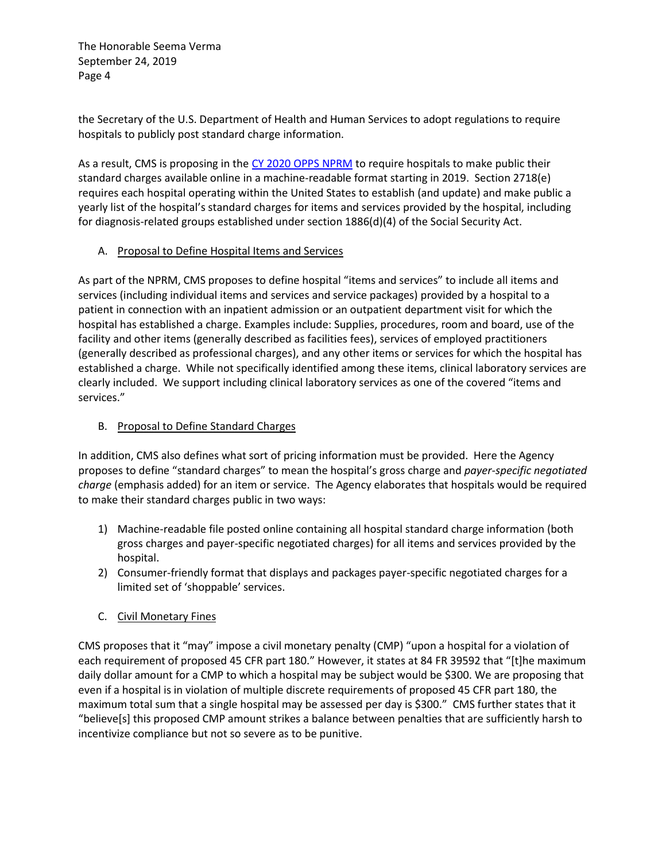the Secretary of the U.S. Department of Health and Human Services to adopt regulations to require hospitals to publicly post standard charge information.

As a result, CMS is proposing in the [CY 2020 OPPS N](https://www.federalregister.gov/documents/2019/08/09/2019-16107/medicare-program-proposed-changes-to-hospital-outpatient-prospective-payment-and-ambulatory-surgical)PRM to require hospitals to make public their standard charges available online in a machine-readable format starting in 2019. Section 2718(e) requires each hospital operating within the United States to establish (and update) and make public a yearly list of the hospital's standard charges for items and services provided by the hospital, including for diagnosis-related groups established under section 1886(d)(4) of the Social Security Act.

#### A. Proposal to Define Hospital Items and Services

As part of the NPRM, CMS proposes to define hospital "items and services" to include all items and services (including individual items and services and service packages) provided by a hospital to a patient in connection with an inpatient admission or an outpatient department visit for which the hospital has established a charge. Examples include: Supplies, procedures, room and board, use of the facility and other items (generally described as facilities fees), services of employed practitioners (generally described as professional charges), and any other items or services for which the hospital has established a charge. While not specifically identified among these items, clinical laboratory services are clearly included. We support including clinical laboratory services as one of the covered "items and services."

### B. Proposal to Define Standard Charges

In addition, CMS also defines what sort of pricing information must be provided. Here the Agency proposes to define "standard charges" to mean the hospital's gross charge and *payer-specific negotiated charge* (emphasis added) for an item or service. The Agency elaborates that hospitals would be required to make their standard charges public in two ways:

- 1) Machine-readable file posted online containing all hospital standard charge information (both gross charges and payer-specific negotiated charges) for all items and services provided by the hospital.
- 2) Consumer-friendly format that displays and packages payer-specific negotiated charges for a limited set of 'shoppable' services.

## C. Civil Monetary Fines

CMS proposes that it "may" impose a civil monetary penalty (CMP) "upon a hospital for a violation of each requirement of proposed 45 CFR part 180." However, it states at 84 FR 39592 that "[t]he maximum daily dollar amount for a CMP to which a hospital may be subject would be \$300. We are proposing that even if a hospital is in violation of multiple discrete requirements of proposed 45 CFR part 180, the maximum total sum that a single hospital may be assessed per day is \$300." CMS further states that it "believe[s] this proposed CMP amount strikes a balance between penalties that are sufficiently harsh to incentivize compliance but not so severe as to be punitive.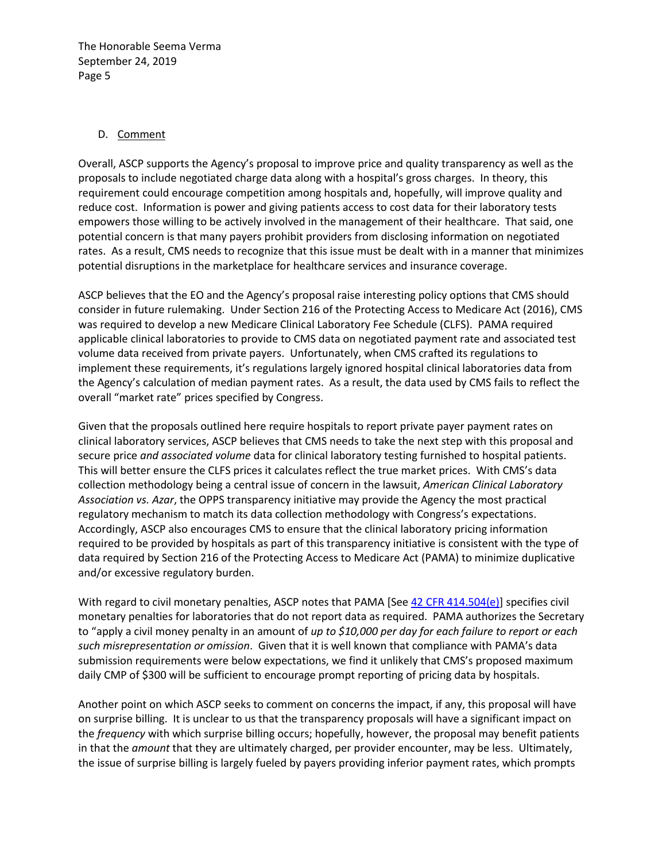#### D. Comment

Overall, ASCP supports the Agency's proposal to improve price and quality transparency as well as the proposals to include negotiated charge data along with a hospital's gross charges. In theory, this requirement could encourage competition among hospitals and, hopefully, will improve quality and reduce cost. Information is power and giving patients access to cost data for their laboratory tests empowers those willing to be actively involved in the management of their healthcare. That said, one potential concern is that many payers prohibit providers from disclosing information on negotiated rates. As a result, CMS needs to recognize that this issue must be dealt with in a manner that minimizes potential disruptions in the marketplace for healthcare services and insurance coverage.

ASCP believes that the EO and the Agency's proposal raise interesting policy options that CMS should consider in future rulemaking. Under Section 216 of the Protecting Access to Medicare Act (2016), CMS was required to develop a new Medicare Clinical Laboratory Fee Schedule (CLFS). PAMA required applicable clinical laboratories to provide to CMS data on negotiated payment rate and associated test volume data received from private payers. Unfortunately, when CMS crafted its regulations to implement these requirements, it's regulations largely ignored hospital clinical laboratories data from the Agency's calculation of median payment rates. As a result, the data used by CMS fails to reflect the overall "market rate" prices specified by Congress.

Given that the proposals outlined here require hospitals to report private payer payment rates on clinical laboratory services, ASCP believes that CMS needs to take the next step with this proposal and secure price *and associated volume* data for clinical laboratory testing furnished to hospital patients. This will better ensure the CLFS prices it calculates reflect the true market prices. With CMS's data collection methodology being a central issue of concern in the lawsuit, *American Clinical Laboratory Association vs. Azar*, the OPPS transparency initiative may provide the Agency the most practical regulatory mechanism to match its data collection methodology with Congress's expectations. Accordingly, ASCP also encourages CMS to ensure that the clinical laboratory pricing information required to be provided by hospitals as part of this transparency initiative is consistent with the type of data required by Section 216 of the Protecting Access to Medicare Act (PAMA) to minimize duplicative and/or excessive regulatory burden.

With regard to civil monetary penalties, ASCP notes that PAMA [See [42 CFR 414.504\(e\)\]](https://www.law.cornell.edu/cfr/text/42/414.504) specifies civil monetary penalties for laboratories that do not report data as required. PAMA authorizes the Secretary to "apply a civil money penalty in an amount of *up to \$10,000 per day for each failure to report or each such misrepresentation or omission*. Given that it is well known that compliance with PAMA's data submission requirements were below expectations, we find it unlikely that CMS's proposed maximum daily CMP of \$300 will be sufficient to encourage prompt reporting of pricing data by hospitals.

Another point on which ASCP seeks to comment on concerns the impact, if any, this proposal will have on surprise billing. It is unclear to us that the transparency proposals will have a significant impact on the *frequency* with which surprise billing occurs; hopefully, however, the proposal may benefit patients in that the *amount* that they are ultimately charged, per provider encounter, may be less. Ultimately, the issue of surprise billing is largely fueled by payers providing inferior payment rates, which prompts